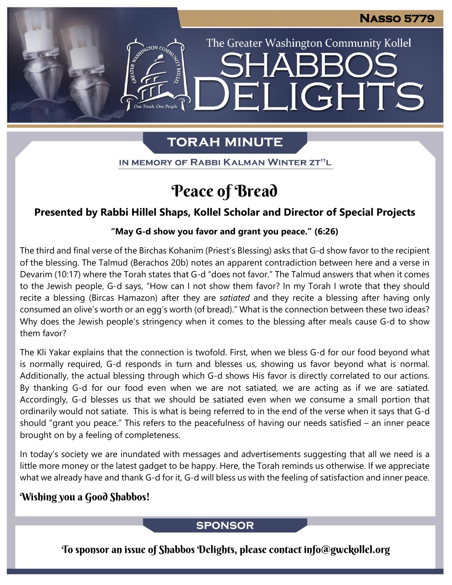The Greater Washington Community Kollel

LIGHTS

# **TORAH MINUTE**

EI

IN MEMORY OF RABBI KALMAN WINTER ZT"L

# Peace of Bread

# **Presented by Rabbi Hillel Shaps, Kollel Scholar and Director of Special Projects**

### **"May G-d show you favor and grant you peace." (6:26)**

The third and final verse of the Birchas Kohanim (Priest's Blessing) asks that G-d show favor to the recipient of the blessing. The Talmud (Berachos 20b) notes an apparent contradiction between here and a verse in Devarim (10:17) where the Torah states that G-d "does not favor." The Talmud answers that when it comes to the Jewish people, G-d says, "How can I not show them favor? In my Torah I wrote that they should recite a blessing (Bircas Hamazon) after they are *satiated* and they recite a blessing after having only consumed an olive's worth or an egg's worth (of bread)." What is the connection between these two ideas? Why does the Jewish people's stringency when it comes to the blessing after meals cause G-d to show them favor?

The Kli Yakar explains that the connection is twofold. First, when we bless G-d for our food beyond what is normally required, G-d responds in turn and blesses us, showing us favor beyond what is normal. Additionally, the actual blessing through which G-d shows His favor is directly correlated to our actions. By thanking G-d for our food even when we are not satiated, we are acting as if we are satiated. Accordingly, G-d blesses us that we should be satiated even when we consume a small portion that ordinarily would not satiate. This is what is being referred to in the end of the verse when it says that G-d should "grant you peace." This refers to the peacefulness of having our needs satisfied – an inner peace brought on by a feeling of completeness.

In today's society we are inundated with messages and advertisements suggesting that all we need is a little more money or the latest gadget to be happy. Here, the Torah reminds us otherwise. If we appreciate what we already have and thank G-d for it, G-d will bless us with the feeling of satisfaction and inner peace.

# Wishing you a Good Shabbos!

## **SPONSOR**

To sponsor an issue of Shabbos Delights, please contact info@gwckollel.org